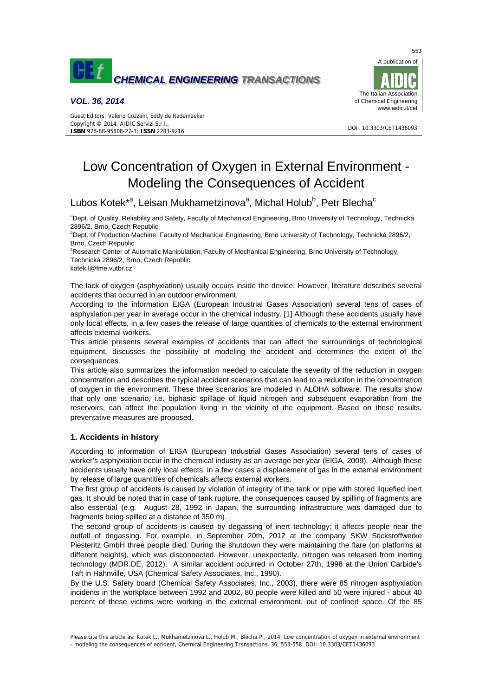

## *VOL. 36, 2014*



# Low Concentration of Oxygen in External Environment - Modeling the Consequences of Accident

# Lubos Kotek\*<sup>a</sup>, Leisan Mukhametzinova<sup>a</sup>, Michal Holub<sup>b</sup>, Petr Blecha<sup>c</sup>

<sup>a</sup>Dept. of Quality, Reliability and Safety, Faculty of Mechanical Engineering, Brno University of Technology, Technická 2896/2, Brno, Czech Republic

b Dept. of Production Machine, Faculty of Mechanical Engineering, Brno University of Technology, Technická 2896/2, Brno, Czech Republic

<sup>c</sup>Research Center of Automatic Manipulation, Faculty of Mechanical Engineering, Brno University of Technology, Technická 2896/2, Brno, Czech Republic

kotek.l@fme.vutbr.cz

The lack of oxygen (asphyxiation) usually occurs inside the device. However, literature describes several accidents that occurred in an outdoor environment.

According to the information EIGA (European Industrial Gases Association) several tens of cases of asphyxiation per year in average occur in the chemical industry. [1] Although these accidents usually have only local effects, in a few cases the release of large quantities of chemicals to the external environment affects external workers.

This article presents several examples of accidents that can affect the surroundings of technological equipment, discusses the possibility of modeling the accident and determines the extent of the consequences.

This article also summarizes the information needed to calculate the severity of the reduction in oxygen concentration and describes the typical accident scenarios that can lead to a reduction in the concentration of oxygen in the environment. These three scenarios are modeled in ALOHA software. The results show that only one scenario, i.e. biphasic spillage of liquid nitrogen and subsequent evaporation from the reservoirs, can affect the population living in the vicinity of the equipment. Based on these results, preventative measures are proposed.

## **1. Accidents in history**

According to information of EIGA (European Industrial Gases Association) several tens of cases of worker's asphyxiation occur in the chemical industry as an average per year (EIGA, 2009). Although these accidents usually have only local effects, in a few cases a displacement of gas in the external environment by release of large quantities of chemicals affects external workers.

The first group of accidents is caused by violation of integrity of the tank or pipe with stored liquefied inert gas. It should be noted that in case of tank rupture, the consequences caused by spilling of fragments are also essential (e.g. August 28, 1992 in Japan, the surrounding infrastructure was damaged due to fragments being spilled at a distance of 350 m).

The second group of accidents is caused by degassing of inert technology; it affects people near the outfall of degassing. For example, in September 20th, 2012 at the company SKW Stickstoffwerke Piesteritz GmbH three people died. During the shutdown they were maintaining the flare (on platforms at different heights), which was disconnected. However, unexpectedly, nitrogen was released from inerting technology (MDR.DE, 2012). A similar accident occurred in October 27th, 1998 at the Union Carbide's Taft in Hahnville, USA (Chemical Safety Associates, Inc., 1990).

By the U.S. Safety board (Chemical Safety Associates, Inc., 2003), there were 85 nitrogen asphyxiation incidents in the workplace between 1992 and 2002, 80 people were killed and 50 were injured - about 40 percent of these victims were working in the external environment, out of confined space. Of the 85

553

Please cite this article as: Kotek L., Mukhametzinova L., Holub M., Blecha P., 2014, Low concentration of oxygen in external environment - modeling the consequences of accident, Chemical Engineering Transactions, 36, 553-558 DOI: 10.3303/CET1436093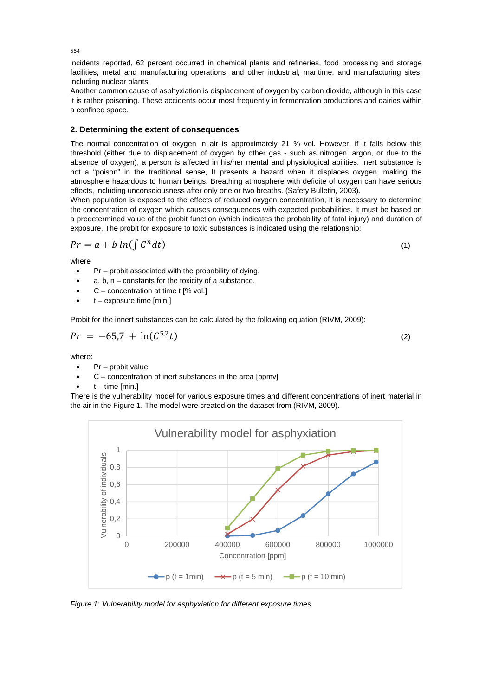incidents reported, 62 percent occurred in chemical plants and refineries, food processing and storage facilities, metal and manufacturing operations, and other industrial, maritime, and manufacturing sites, including nuclear plants.

Another common cause of asphyxiation is displacement of oxygen by carbon dioxide, although in this case it is rather poisoning. These accidents occur most frequently in fermentation productions and dairies within a confined space.

# **2. Determining the extent of consequences**

The normal concentration of oxygen in air is approximately 21 % vol. However, if it falls below this threshold (either due to displacement of oxygen by other gas - such as nitrogen, argon, or due to the absence of oxygen), a person is affected in his/her mental and physiological abilities. Inert substance is not a "poison" in the traditional sense, It presents a hazard when it displaces oxygen, making the atmosphere hazardous to human beings. Breathing atmosphere with deficite of oxygen can have serious effects, including unconsciousness after only one or two breaths. (Safety Bulletin, 2003).

When population is exposed to the effects of reduced oxygen concentration, it is necessary to determine the concentration of oxygen which causes consequences with expected probabilities. It must be based on a predetermined value of the probit function (which indicates the probability of fatal injury) and duration of exposure. The probit for exposure to toxic substances is indicated using the relationship:

$$
Pr = a + b \ln(\int C^n dt) \tag{1}
$$

where

- $Pr$  probit associated with the probability of dying,
- a,  $b, n -$  constants for the toxicity of a substance,
- $C$  concentration at time t [% vol.]
- $t -$  exposure time [min.]

Probit for the innert substances can be calculated by the following equation (RIVM, 2009):

$$
Pr = -65.7 + \ln(C^{5.2}t) \tag{2}
$$

where:

- Pr probit value
- $C$  concentration of inert substances in the area [ppmv]
- $t time$  [min.]

There is the vulnerability model for various exposure times and different concentrations of inert material in the air in the Figure 1. The model were created on the dataset from (RIVM, 2009).



*Figure 1: Vulnerability model for asphyxiation for different exposure times* 

554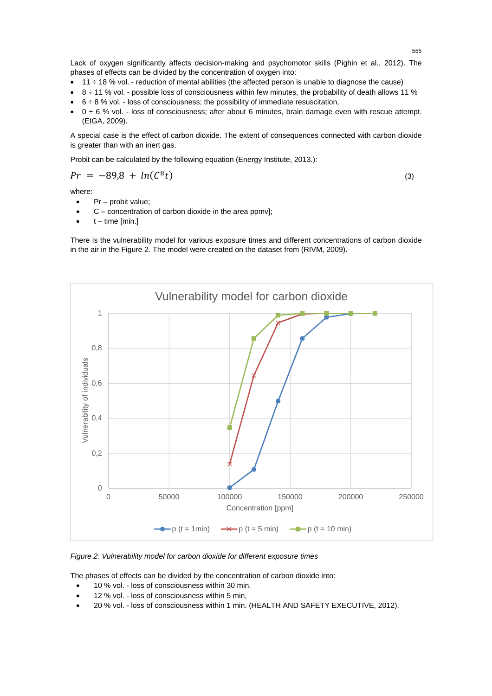Lack of oxygen significantly affects decision-making and psychomotor skills (Pighin et al., 2012). The phases of effects can be divided by the concentration of oxygen into:

- $11 \div 18$  % vol. reduction of mental abilities (the affected person is unable to diagnose the cause)
- 8 ÷ 11 % vol. possible loss of consciousness within few minutes, the probability of death allows 11 %
- $6 \div 8$  % vol. loss of consciousness; the possibility of immediate resuscitation,
- $0 \div 6$  % vol. loss of consciousness; after about 6 minutes, brain damage even with rescue attempt. (EIGA, 2009).

A special case is the effect of carbon dioxide. The extent of consequences connected with carbon dioxide is greater than with an inert gas.

Probit can be calculated by the following equation (Energy Institute, 2013.):

$$
Pr = -89.8 + ln(C^8t)
$$
 (3)

where:

- Pr probit value;
- $C$  concentration of carbon dioxide in the area ppmv];
- $t time$  [min.]

There is the vulnerability model for various exposure times and different concentrations of carbon dioxide in the air in the Figure 2. The model were created on the dataset from (RIVM, 2009).



*Figure 2: Vulnerability model for carbon dioxide for different exposure times* 

The phases of effects can be divided by the concentration of carbon dioxide into:

- 10 % vol. loss of consciousness within 30 min,
- 12 % vol. loss of consciousness within 5 min,
- 20 % vol. loss of consciousness within 1 min. (HEALTH AND SAFETY EXECUTIVE, 2012).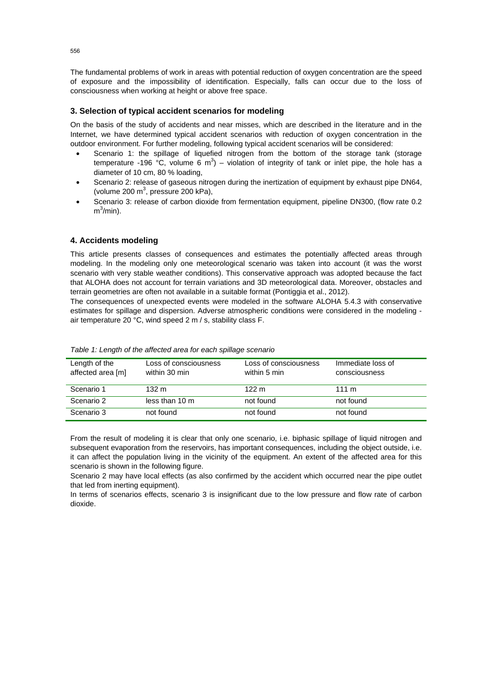The fundamental problems of work in areas with potential reduction of oxygen concentration are the speed of exposure and the impossibility of identification. Especially, falls can occur due to the loss of consciousness when working at height or above free space.

## **3. Selection of typical accident scenarios for modeling**

On the basis of the study of accidents and near misses, which are described in the literature and in the Internet, we have determined typical accident scenarios with reduction of oxygen concentration in the outdoor environment. For further modeling, following typical accident scenarios will be considered:

- Scenario 1: the spillage of liquefied nitrogen from the bottom of the storage tank (storage temperature -196 °C, volume 6 m<sup>3</sup>) – violation of integrity of tank or inlet pipe, the hole has a diameter of 10 cm, 80 % loading,
- Scenario 2: release of gaseous nitrogen during the inertization of equipment by exhaust pipe DN64, (volume 200  $m^3$ , pressure 200 kPa),
- Scenario 3: release of carbon dioxide from fermentation equipment, pipeline DN300, (flow rate 0.2 m $^3$ /min).

## **4. Accidents modeling**

This article presents classes of consequences and estimates the potentially affected areas through modeling. In the modeling only one meteorological scenario was taken into account (it was the worst scenario with very stable weather conditions). This conservative approach was adopted because the fact that ALOHA does not account for terrain variations and 3D meteorological data. Moreover, obstacles and terrain geometries are often not available in a suitable format (Pontiggia et al., 2012).

The consequences of unexpected events were modeled in the software ALOHA 5.4.3 with conservative estimates for spillage and dispersion. Adverse atmospheric conditions were considered in the modeling air temperature 20 °C, wind speed 2 m / s, stability class F.

| Length of the<br>affected area [m] | Loss of consciousness<br>within 30 min | Loss of consciousness<br>within 5 min | Immediate loss of<br>consciousness |
|------------------------------------|----------------------------------------|---------------------------------------|------------------------------------|
| Scenario 1                         | $132 \text{ m}$                        | 122 m                                 | $111 \text{ m}$                    |
| Scenario 2                         | less than 10 m                         | not found                             | not found                          |
| Scenario 3                         | not found                              | not found                             | not found                          |

*Table 1: Length of the affected area for each spillage scenario* 

From the result of modeling it is clear that only one scenario, i.e. biphasic spillage of liquid nitrogen and subsequent evaporation from the reservoirs, has important consequences, including the object outside, i.e. it can affect the population living in the vicinity of the equipment. An extent of the affected area for this scenario is shown in the following figure.

Scenario 2 may have local effects (as also confirmed by the accident which occurred near the pipe outlet that led from inerting equipment).

In terms of scenarios effects, scenario 3 is insignificant due to the low pressure and flow rate of carbon dioxide.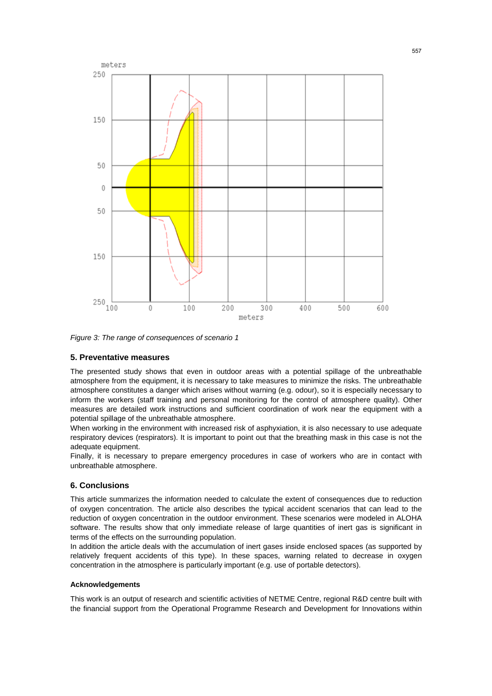

*Figure 3: The range of consequences of scenario 1* 

#### **5. Preventative measures**

The presented study shows that even in outdoor areas with a potential spillage of the unbreathable atmosphere from the equipment, it is necessary to take measures to minimize the risks. The unbreathable atmosphere constitutes a danger which arises without warning (e.g. odour), so it is especially necessary to inform the workers (staff training and personal monitoring for the control of atmosphere quality). Other measures are detailed work instructions and sufficient coordination of work near the equipment with a potential spillage of the unbreathable atmosphere.

When working in the environment with increased risk of asphyxiation, it is also necessary to use adequate respiratory devices (respirators). It is important to point out that the breathing mask in this case is not the adequate equipment.

Finally, it is necessary to prepare emergency procedures in case of workers who are in contact with unbreathable atmosphere.

#### **6. Conclusions**

This article summarizes the information needed to calculate the extent of consequences due to reduction of oxygen concentration. The article also describes the typical accident scenarios that can lead to the reduction of oxygen concentration in the outdoor environment. These scenarios were modeled in ALOHA software. The results show that only immediate release of large quantities of inert gas is significant in terms of the effects on the surrounding population.

In addition the article deals with the accumulation of inert gases inside enclosed spaces (as supported by relatively frequent accidents of this type). In these spaces, warning related to decrease in oxygen concentration in the atmosphere is particularly important (e.g. use of portable detectors).

#### **Acknowledgements**

This work is an output of research and scientific activities of NETME Centre, regional R&D centre built with the financial support from the Operational Programme Research and Development for Innovations within